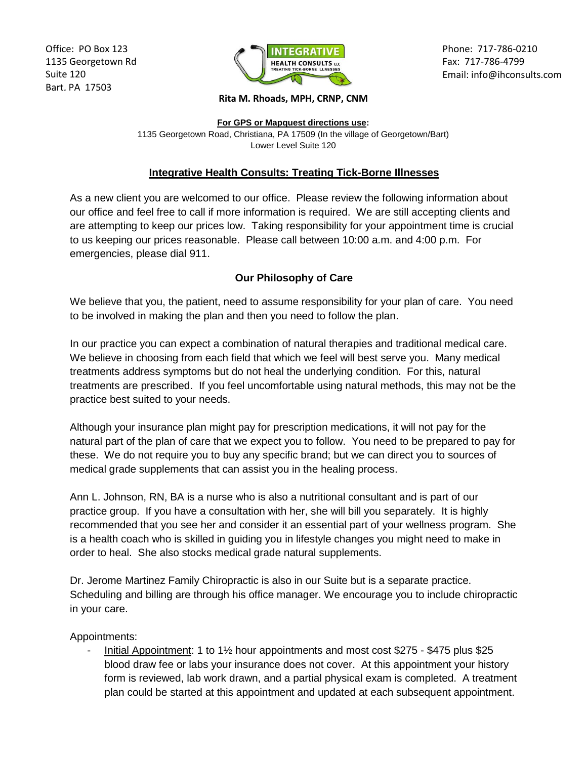Office: PO Box 123 1135 Georgetown Rd Suite 120 Bart, PA 17503



Phone: 717-786-0210 Fax: 717-786-4799 Email: info@ihconsults.com

## **Rita M. Rhoads, MPH, CRNP, CNM**

**For GPS or Mapquest directions use:** 1135 Georgetown Road, Christiana, PA 17509 (In the village of Georgetown/Bart) Lower Level Suite 120

## **Integrative Health Consults: Treating Tick-Borne Illnesses**

As a new client you are welcomed to our office. Please review the following information about our office and feel free to call if more information is required. We are still accepting clients and are attempting to keep our prices low. Taking responsibility for your appointment time is crucial to us keeping our prices reasonable. Please call between 10:00 a.m. and 4:00 p.m. For emergencies, please dial 911.

## **Our Philosophy of Care**

We believe that you, the patient, need to assume responsibility for your plan of care. You need to be involved in making the plan and then you need to follow the plan.

In our practice you can expect a combination of natural therapies and traditional medical care. We believe in choosing from each field that which we feel will best serve you. Many medical treatments address symptoms but do not heal the underlying condition. For this, natural treatments are prescribed. If you feel uncomfortable using natural methods, this may not be the practice best suited to your needs.

Although your insurance plan might pay for prescription medications, it will not pay for the natural part of the plan of care that we expect you to follow. You need to be prepared to pay for these. We do not require you to buy any specific brand; but we can direct you to sources of medical grade supplements that can assist you in the healing process.

Ann L. Johnson, RN, BA is a nurse who is also a nutritional consultant and is part of our practice group. If you have a consultation with her, she will bill you separately. It is highly recommended that you see her and consider it an essential part of your wellness program. She is a health coach who is skilled in guiding you in lifestyle changes you might need to make in order to heal. She also stocks medical grade natural supplements.

Dr. Jerome Martinez Family Chiropractic is also in our Suite but is a separate practice. Scheduling and billing are through his office manager. We encourage you to include chiropractic in your care.

Appointments:

- Initial Appointment: 1 to 1½ hour appointments and most cost \$275 - \$475 plus \$25 blood draw fee or labs your insurance does not cover. At this appointment your history form is reviewed, lab work drawn, and a partial physical exam is completed. A treatment plan could be started at this appointment and updated at each subsequent appointment.